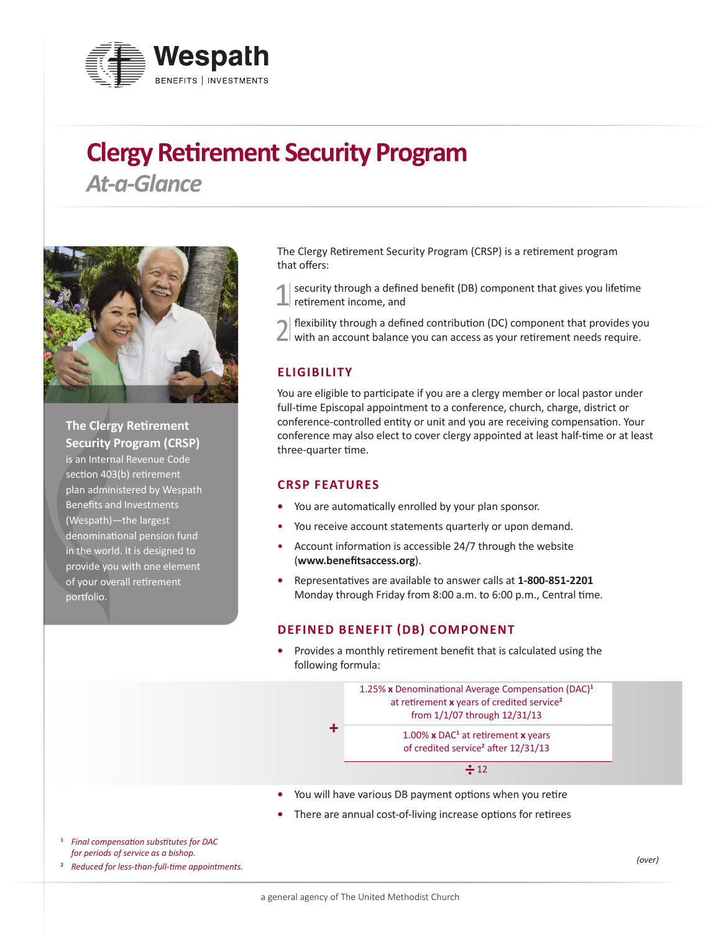

# **Clergy Retirement Security Program**

*At-a-Glance*



**The Clergy Retirement Security Program (CRSP)**  is an Internal Revenue Code section 403(b) retirement plan administered by Wespath Benefits and Investments (Wespath)—the largest denominational pension fund in the world. It is designed to provide you with one element of your overall retirement portfolio.

The Clergy Retirement Security Program (CRSP) is a retirement program that offers:

security through a defined benefit (DB) component that gives you lifetime retirement income, and

2 flexibility through a defined contribution (DC) component that provides you with an account balance you can access as your retirement needs require.

## **ELIGIBILITY**

You are eligible to participate if you are a clergy member or local pastor under full-time Episcopal appointment to a conference, church, charge, district or conference-controlled entity or unit and you are receiving compensation. Your conference may also elect to cover clergy appointed at least half-time or at least three-quarter time.

#### **CRSP FEATURES**

- **•** You are automatically enrolled by your plan sponsor.
- You receive account statements quarterly or upon demand.
- Account information is accessible 24/7 through the website (**www.benefitsaccess.org**).
- **•** Representatives are available to answer calls at **1-800-851-2201** Monday through Friday from 8:00 a.m. to 6:00 p.m., Central time.

#### **DEFINED BENEFIT (DB) COMPONENT**

**•** Provides a monthly retirement benefit that is calculated using the following formula:



- **•** You will have various DB payment options when you retire
- **•** There are annual cost-of-living increase options for retirees
- **<sup>1</sup>** *Final compensation substitutes for DAC for periods of service as a bishop.*

**<sup>2</sup>** *Reduced for less-than-full-time appointments.*